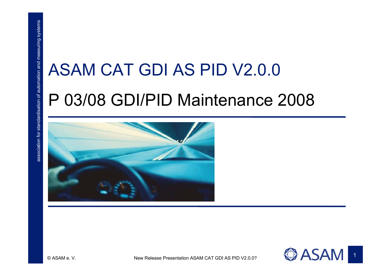# ASAM CAT GDI AS PID V2.0.0<br>P 03/08 GDI/PID Maintenance 2008





1

© ASAM e. V. New Release Presentation ASAM CAT GDI AS PID V2.0.0? New York AND THE INTERNATION ASAM CAT GDI AS PID V2.0.0?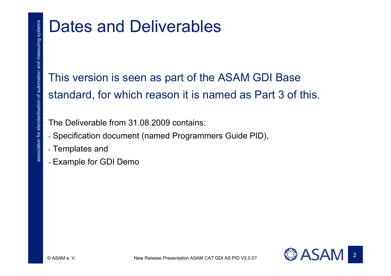# Dates and Deliverables<br>This version is seen as part of the ASAM GDI Base<br>standard, for which reason it is named as Part 3 of this.<br>The Deliverable from 31.08.2009 contains:<br>- Specification document (named Programmers Guide

- 
- 
- Example for GDI Demo

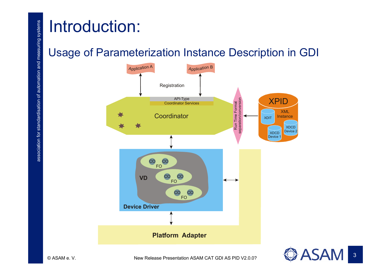



3

© ASAM e. V. New Release Presentation ASAM CAT GDI AS PID V2.0.0? New York AND THE INTERNATION ASAM CAT GDI AS PID V2.0.0?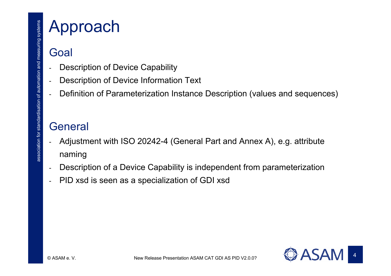- 
- 
- 

- **Approach**<br>
Goal<br>
 Description of Device Capability<br>
 Description of Device Information Text<br>
 Definition of Parameterization Instance Description (values and sequences)<br>
General<br>
 Adjustment with ISO 20242-4 (General
	- -Description of a Device Capability is independent from parameterization
	- PID xsd is seen as a specialization of GDI xsd

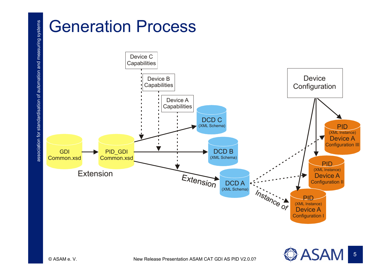

© ASAM e.V.

**ASAM**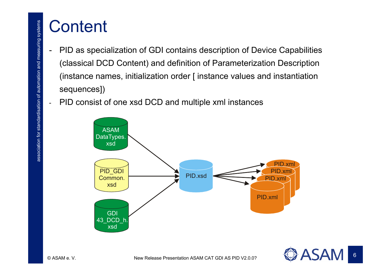- **Content**<br>- PID as specialization of GDI contains description of Device Capabilities<br>(classical DCD Content) and definition of Parameterization Description<br>(instance names, initialization order [ instance values and instan
	-



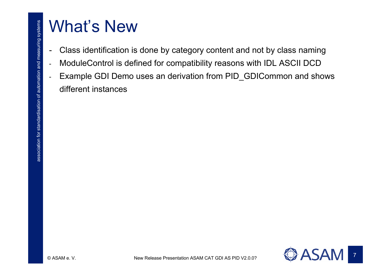- 
- 
- What's New<br>- Class identification is done by category content and not by class naming<br>- ModuleControl is defined for compatibility reasons with IDL ASCII DCD<br>- Example GDI Demo uses an derivation from PID\_GDICommon and sho

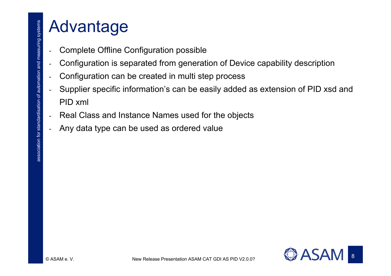- 
- 
- 
- Advantage<br>
 complete Offline Configuration possible<br>
 configuration is separated from generation of Device capability description<br>
 Configuration can be created in multi step process<br>
 Supplier specific information's c
	-
	-

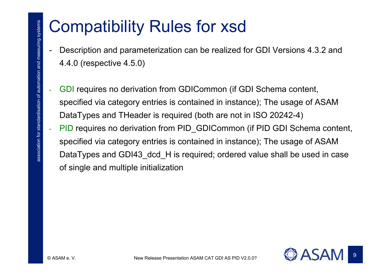- 
- Compatibility Rules for xsd<br>- Description and parameterization can be realized for GDI Versions 4.3.2 and<br>4.4.0 (respective 4.5.0)<br>- GDI requires no derivation from GDICommon (if GDI Schema content,<br>specified via category of single and multiple initialization